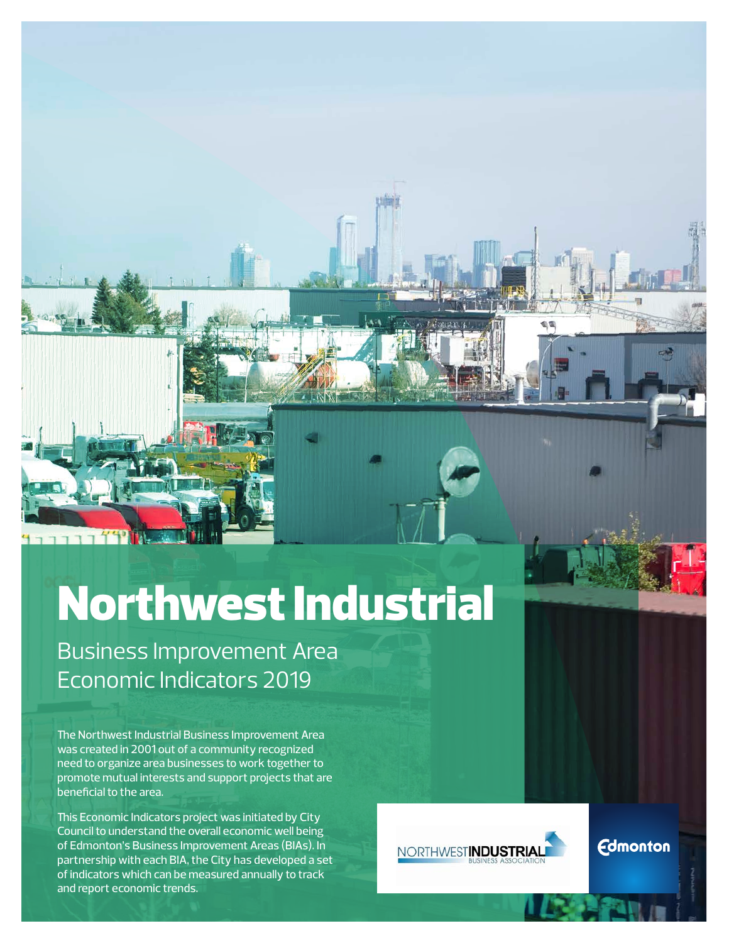# Northwest Industrial

Business Improvement Area Economic Indicators 2019

The Northwest Industrial Business Improvement Area was created in 2001 out of a community recognized need to organize area businesses to work together to promote mutual interests and support projects that are beneficial to the area.

This Economic Indicators project was initiated by City Council to understand the overall economic well being of Edmonton's Business Improvement Areas (BIAs). In partnership with each BIA, the City has developed a set of indicators which can be measured annually to track and report economic trends.



**Edmonton**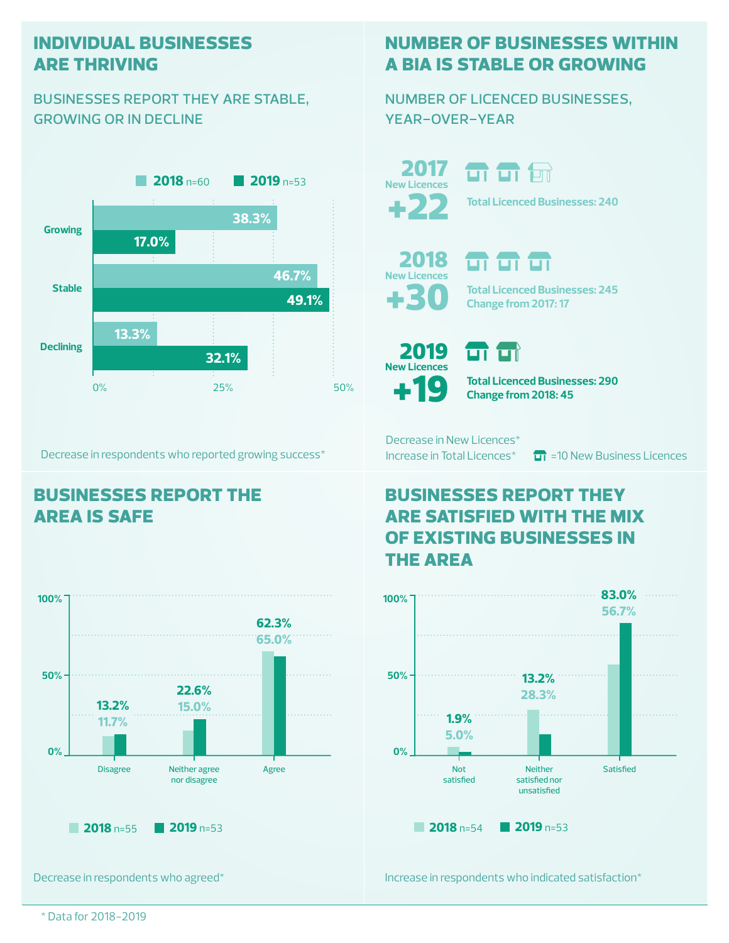## **individual businesses are thriving**

#### businesses report they are stable, growing or in decline



Decrease in respondents who reported growing success\*

## **businesses report the area is safe**



## **number of businesses within a bia is stable or growing**

#### number of licenced businesses, year-over-year

+22 2017 **New Licences**

**Total Licenced Businesses: 240**

+30 2018 **New Licences**

**m m m Total Licenced Businesses: 245 Change from 2017: 17**

 $\boldsymbol{\varphi}$ 2019 **New Licences**

**Total Licenced Businesses: 290 Change from 2018: 45**

Decrease in New Licences\*

 $\overline{\mathbf{u}}$ 

m

Increase in Total Licences<sup>\*</sup>  $\Box$  =10 New Business Licences

# **businesses report they are satisfied with the mix of existing businesses in the area**



Decrease in respondents who agreed\*

Increase in respondents who indicated satisfaction\*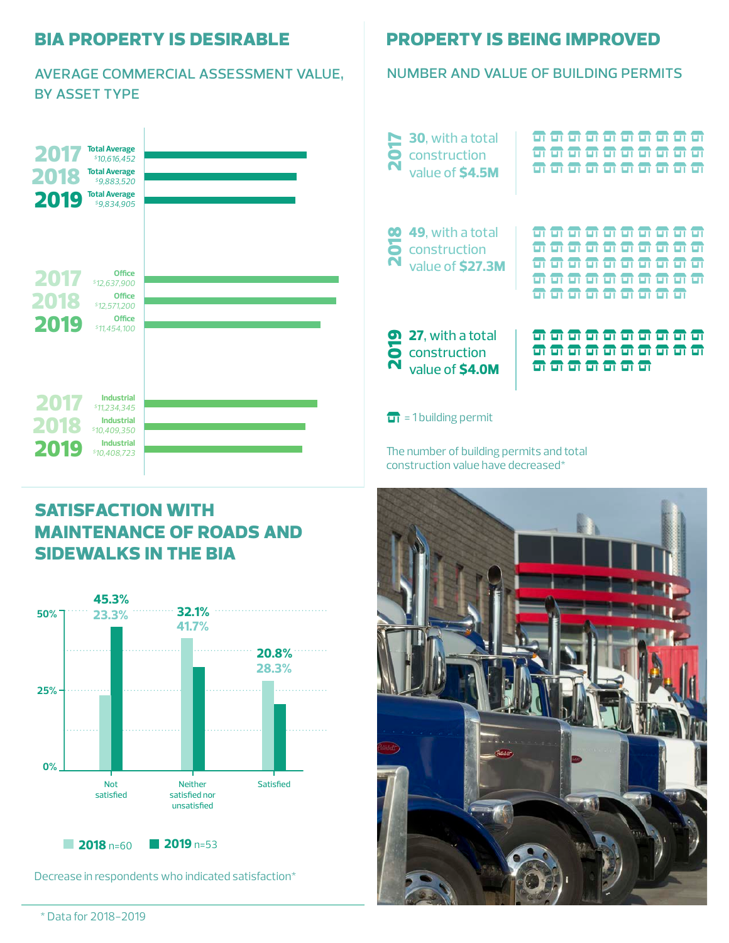#### **bia property is desirable**

#### average commercial assessment value, by asset type



## **satisfaction with maintenance of roads and sidewalks in the bia**



Decrease in respondents who indicated satisfaction\*

#### **property is being improved**

#### number and value of building permits

| <b>2017</b> | <b>30</b> , with a total<br>construction<br>value of \$4.5M              |  |    | <del>ள எ எ எ</del>      |       |  |  |
|-------------|--------------------------------------------------------------------------|--|----|-------------------------|-------|--|--|
| <b>810</b>  | 49, with a total<br>construction<br>value of \$27.3M                     |  |    | ╦╦                      | ज ज ज |  |  |
| N           | <sup>27</sup> , with a total<br><b>6</b> construction<br>value of \$4.0M |  | ਰਾ | $\overline{\mathbf{m}}$ | ण     |  |  |

 $\overrightarrow{u}$  = 1 building permit

The number of building permits and total construction value have decreased\*